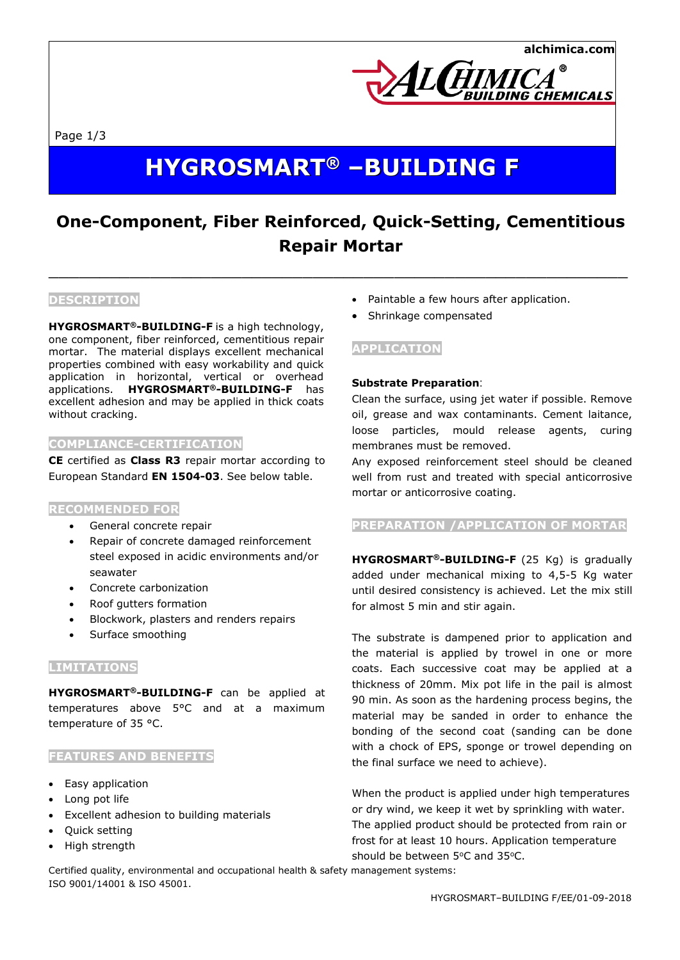

Page 1/3

# **HYGROSMART ® –BUILDING F**

## **One-Component, Fiber Reinforced, Quick-Setting, Cementitious Repair Mortar**

 $\_$  , and the set of the set of the set of the set of the set of the set of the set of the set of the set of the set of the set of the set of the set of the set of the set of the set of the set of the set of the set of th

#### **DESCRIPTION**

**HYGROSMART®-BUILDING-F** is a high technology, one component, fiber reinforced, cementitious repair mortar. The material displays excellent mechanical properties combined with easy workability and quick application in horizontal, vertical or overhead applications. **HYGROSMART®-BUILDING-F** has excellent adhesion and may be applied in thick coats without cracking.

#### **COMPLIANCE-CERTIFICATION**

**CE** certified as **Class R3** repair mortar according to European Standard **EN 1504-03**. See below table.

#### **RECOMMENDED FOR**

- General concrete repair
- Repair of concrete damaged reinforcement steel exposed in acidic environments and/or seawater
- Concrete carbonization
- Roof gutters formation
- Blockwork, plasters and renders repairs
- Surface smoothing

#### **LIMITATIONS**

**HYGROSMART®-BUILDING-F** can be applied at temperatures above 5°C and at a maximum temperature of 35 °C.

#### **FEATURES AND BENEFITS**

- Easy application
- Long pot life
- Excellent adhesion to building materials
- Quick setting
- High strength
- Paintable a few hours after application.
- Shrinkage compensated

### **APPLICATION**

#### **Substrate Preparation**:

Clean the surface, using jet water if possible. Remove oil, grease and wax contaminants. Cement laitance, loose particles, mould release agents, curing membranes must be removed.

Any exposed reinforcement steel should be cleaned well from rust and treated with special anticorrosive mortar or anticorrosive coating.

#### **PREPARATION /APPLICATION OF MORTAR**

**HYGROSMART®-BUILDING-F** (25 Kg) is gradually added under mechanical mixing to 4,5-5 Kg water until desired consistency is achieved. Let the mix still for almost 5 min and stir again.

The substrate is dampened prior to application and the material is applied by trowel in one or more coats. Each successive coat may be applied at a thickness of 20mm. Mix pot life in the pail is almost 90 min. As soon as the hardening process begins, the material may be sanded in order to enhance the bonding of the second coat (sanding can be done with a chock of EPS, sponge or trowel depending on the final surface we need to achieve).

When the product is applied under high temperatures or dry wind, we keep it wet by sprinkling with water. The applied product should be protected from rain or frost for at least 10 hours. Application temperature should be between 5°C and 35°C.

Certified quality, environmental and occupational health & safety management systems: ISO 9001/14001 & ISO 45001.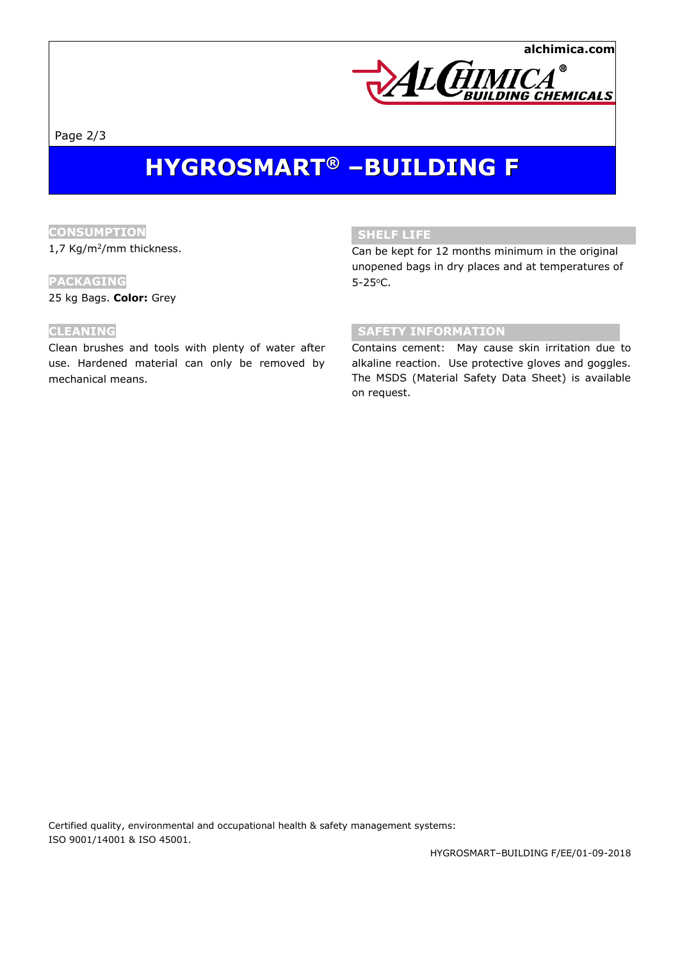**alchimica.com**



Page 2/3

# **HYGROSMART ® –BUILDING F**

### **CONSUMPTION**

1,7 Kg/m<sup>2</sup>/mm thickness.

#### **PACKAGING**

25 kg Bags. **Color:** Grey

#### **CLEANING**

Clean brushes and tools with plenty of water after use. Hardened material can only be removed by mechanical means.

#### **SHELF LIFE**

Can be kept for 12 months minimum in the original unopened bags in dry places and at temperatures of 5-25<sup>o</sup>C.

#### **SAFETY INFORMATION**

Contains cement: May cause skin irritation due to alkaline reaction. Use protective gloves and goggles. The MSDS (Material Safety Data Sheet) is available on request.

Certified quality, environmental and occupational health & safety management systems: ISO 9001/14001 & ISO 45001.